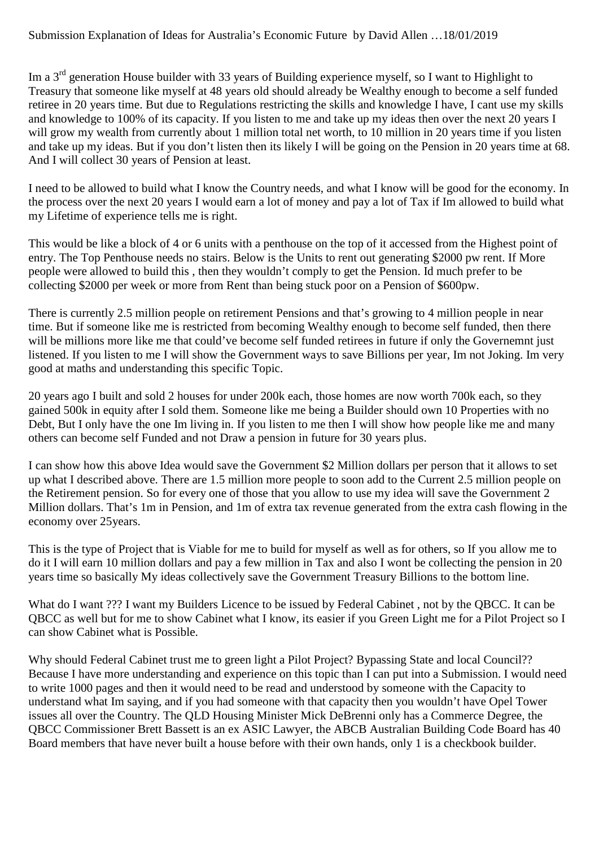Im a 3<sup>rd</sup> generation House builder with 33 years of Building experience myself, so I want to Highlight to Treasury that someone like myself at 48 years old should already be Wealthy enough to become a self funded retiree in 20 years time. But due to Regulations restricting the skills and knowledge I have, I cant use my skills and knowledge to 100% of its capacity. If you listen to me and take up my ideas then over the next 20 years I will grow my wealth from currently about 1 million total net worth, to 10 million in 20 years time if you listen and take up my ideas. But if you don't listen then its likely I will be going on the Pension in 20 years time at 68. And I will collect 30 years of Pension at least.

I need to be allowed to build what I know the Country needs, and what I know will be good for the economy. In the process over the next 20 years I would earn a lot of money and pay a lot of Tax if Im allowed to build what my Lifetime of experience tells me is right.

This would be like a block of 4 or 6 units with a penthouse on the top of it accessed from the Highest point of entry. The Top Penthouse needs no stairs. Below is the Units to rent out generating \$2000 pw rent. If More people were allowed to build this , then they wouldn't comply to get the Pension. Id much prefer to be collecting \$2000 per week or more from Rent than being stuck poor on a Pension of \$600pw.

There is currently 2.5 million people on retirement Pensions and that's growing to 4 million people in near time. But if someone like me is restricted from becoming Wealthy enough to become self funded, then there will be millions more like me that could've become self funded retirees in future if only the Governemnt just listened. If you listen to me I will show the Government ways to save Billions per year, Im not Joking. Im very good at maths and understanding this specific Topic.

20 years ago I built and sold 2 houses for under 200k each, those homes are now worth 700k each, so they gained 500k in equity after I sold them. Someone like me being a Builder should own 10 Properties with no Debt, But I only have the one Im living in. If you listen to me then I will show how people like me and many others can become self Funded and not Draw a pension in future for 30 years plus.

I can show how this above Idea would save the Government \$2 Million dollars per person that it allows to set up what I described above. There are 1.5 million more people to soon add to the Current 2.5 million people on the Retirement pension. So for every one of those that you allow to use my idea will save the Government 2 Million dollars. That's 1m in Pension, and 1m of extra tax revenue generated from the extra cash flowing in the economy over 25years.

This is the type of Project that is Viable for me to build for myself as well as for others, so If you allow me to do it I will earn 10 million dollars and pay a few million in Tax and also I wont be collecting the pension in 20 years time so basically My ideas collectively save the Government Treasury Billions to the bottom line.

What do I want ??? I want my Builders Licence to be issued by Federal Cabinet, not by the QBCC. It can be QBCC as well but for me to show Cabinet what I know, its easier if you Green Light me for a Pilot Project so I can show Cabinet what is Possible.

Why should Federal Cabinet trust me to green light a Pilot Project? Bypassing State and local Council?? Because I have more understanding and experience on this topic than I can put into a Submission. I would need to write 1000 pages and then it would need to be read and understood by someone with the Capacity to understand what Im saying, and if you had someone with that capacity then you wouldn't have Opel Tower issues all over the Country. The QLD Housing Minister Mick DeBrenni only has a Commerce Degree, the QBCC Commissioner Brett Bassett is an ex ASIC Lawyer, the ABCB Australian Building Code Board has 40 Board members that have never built a house before with their own hands, only 1 is a checkbook builder.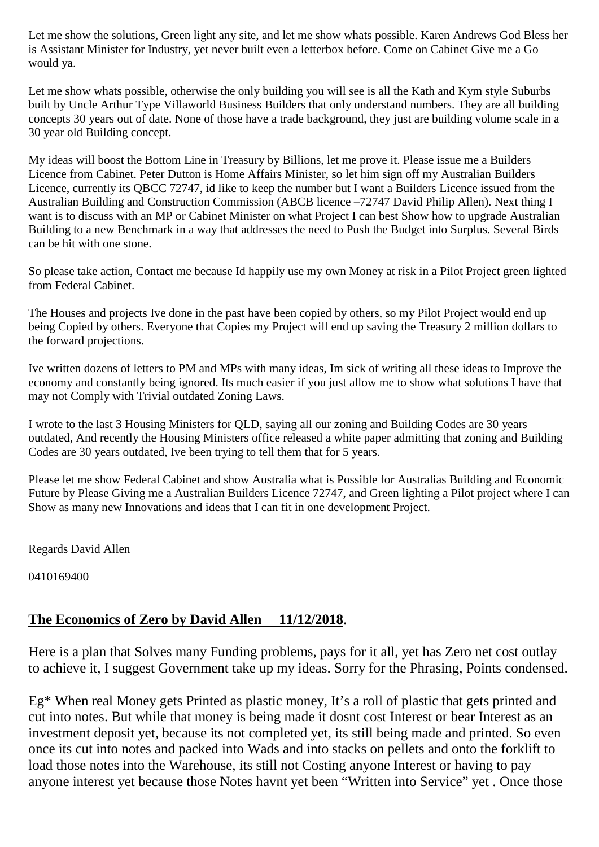Let me show the solutions, Green light any site, and let me show whats possible. Karen Andrews God Bless her is Assistant Minister for Industry, yet never built even a letterbox before. Come on Cabinet Give me a Go would ya.

Let me show whats possible, otherwise the only building you will see is all the Kath and Kym style Suburbs built by Uncle Arthur Type Villaworld Business Builders that only understand numbers. They are all building concepts 30 years out of date. None of those have a trade background, they just are building volume scale in a 30 year old Building concept.

My ideas will boost the Bottom Line in Treasury by Billions, let me prove it. Please issue me a Builders Licence from Cabinet. Peter Dutton is Home Affairs Minister, so let him sign off my Australian Builders Licence, currently its QBCC 72747, id like to keep the number but I want a Builders Licence issued from the Australian Building and Construction Commission (ABCB licence –72747 David Philip Allen). Next thing I want is to discuss with an MP or Cabinet Minister on what Project I can best Show how to upgrade Australian Building to a new Benchmark in a way that addresses the need to Push the Budget into Surplus. Several Birds can be hit with one stone.

So please take action, Contact me because Id happily use my own Money at risk in a Pilot Project green lighted from Federal Cabinet.

The Houses and projects Ive done in the past have been copied by others, so my Pilot Project would end up being Copied by others. Everyone that Copies my Project will end up saving the Treasury 2 million dollars to the forward projections.

Ive written dozens of letters to PM and MPs with many ideas, Im sick of writing all these ideas to Improve the economy and constantly being ignored. Its much easier if you just allow me to show what solutions I have that may not Comply with Trivial outdated Zoning Laws.

I wrote to the last 3 Housing Ministers for QLD, saying all our zoning and Building Codes are 30 years outdated, And recently the Housing Ministers office released a white paper admitting that zoning and Building Codes are 30 years outdated, Ive been trying to tell them that for 5 years.

Please let me show Federal Cabinet and show Australia what is Possible for Australias Building and Economic Future by Please Giving me a Australian Builders Licence 72747, and Green lighting a Pilot project where I can Show as many new Innovations and ideas that I can fit in one development Project.

Regards David Allen

0410169400

## **The Economics of Zero by David Allen 11/12/2018**.

Here is a plan that Solves many Funding problems, pays for it all, yet has Zero net cost outlay to achieve it, I suggest Government take up my ideas. Sorry for the Phrasing, Points condensed.

Eg\* When real Money gets Printed as plastic money, It's a roll of plastic that gets printed and cut into notes. But while that money is being made it dosnt cost Interest or bear Interest as an investment deposit yet, because its not completed yet, its still being made and printed. So even once its cut into notes and packed into Wads and into stacks on pellets and onto the forklift to load those notes into the Warehouse, its still not Costing anyone Interest or having to pay anyone interest yet because those Notes havnt yet been "Written into Service" yet . Once those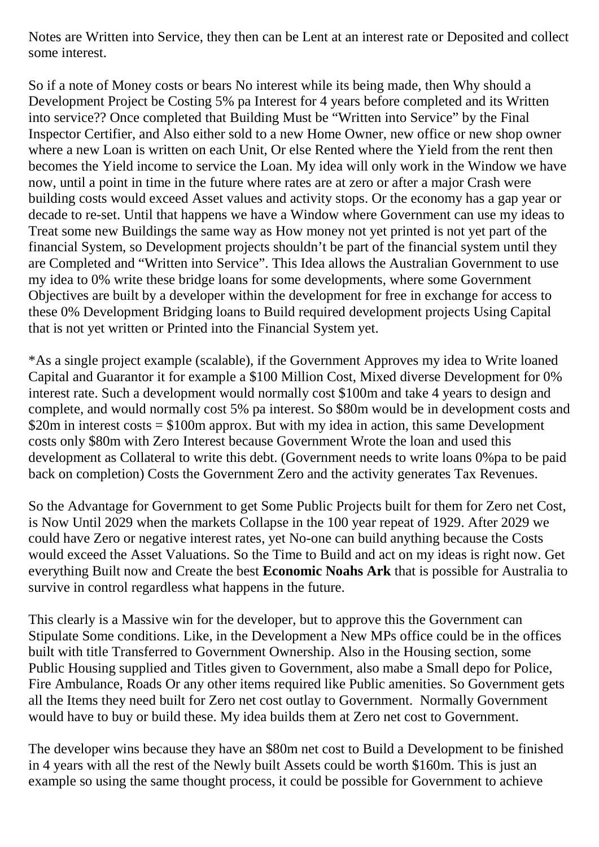Notes are Written into Service, they then can be Lent at an interest rate or Deposited and collect some interest.

So if a note of Money costs or bears No interest while its being made, then Why should a Development Project be Costing 5% pa Interest for 4 years before completed and its Written into service?? Once completed that Building Must be "Written into Service" by the Final Inspector Certifier, and Also either sold to a new Home Owner, new office or new shop owner where a new Loan is written on each Unit, Or else Rented where the Yield from the rent then becomes the Yield income to service the Loan. My idea will only work in the Window we have now, until a point in time in the future where rates are at zero or after a major Crash were building costs would exceed Asset values and activity stops. Or the economy has a gap year or decade to re-set. Until that happens we have a Window where Government can use my ideas to Treat some new Buildings the same way as How money not yet printed is not yet part of the financial System, so Development projects shouldn't be part of the financial system until they are Completed and "Written into Service". This Idea allows the Australian Government to use my idea to 0% write these bridge loans for some developments, where some Government Objectives are built by a developer within the development for free in exchange for access to these 0% Development Bridging loans to Build required development projects Using Capital that is not yet written or Printed into the Financial System yet.

\*As a single project example (scalable), if the Government Approves my idea to Write loaned Capital and Guarantor it for example a \$100 Million Cost, Mixed diverse Development for 0% interest rate. Such a development would normally cost \$100m and take 4 years to design and complete, and would normally cost 5% pa interest. So \$80m would be in development costs and \$20m in interest costs = \$100m approx. But with my idea in action, this same Development costs only \$80m with Zero Interest because Government Wrote the loan and used this development as Collateral to write this debt. (Government needs to write loans 0%pa to be paid back on completion) Costs the Government Zero and the activity generates Tax Revenues.

So the Advantage for Government to get Some Public Projects built for them for Zero net Cost, is Now Until 2029 when the markets Collapse in the 100 year repeat of 1929. After 2029 we could have Zero or negative interest rates, yet No-one can build anything because the Costs would exceed the Asset Valuations. So the Time to Build and act on my ideas is right now. Get everything Built now and Create the best **Economic Noahs Ark** that is possible for Australia to survive in control regardless what happens in the future.

This clearly is a Massive win for the developer, but to approve this the Government can Stipulate Some conditions. Like, in the Development a New MPs office could be in the offices built with title Transferred to Government Ownership. Also in the Housing section, some Public Housing supplied and Titles given to Government, also mabe a Small depo for Police, Fire Ambulance, Roads Or any other items required like Public amenities. So Government gets all the Items they need built for Zero net cost outlay to Government. Normally Government would have to buy or build these. My idea builds them at Zero net cost to Government.

The developer wins because they have an \$80m net cost to Build a Development to be finished in 4 years with all the rest of the Newly built Assets could be worth \$160m. This is just an example so using the same thought process, it could be possible for Government to achieve